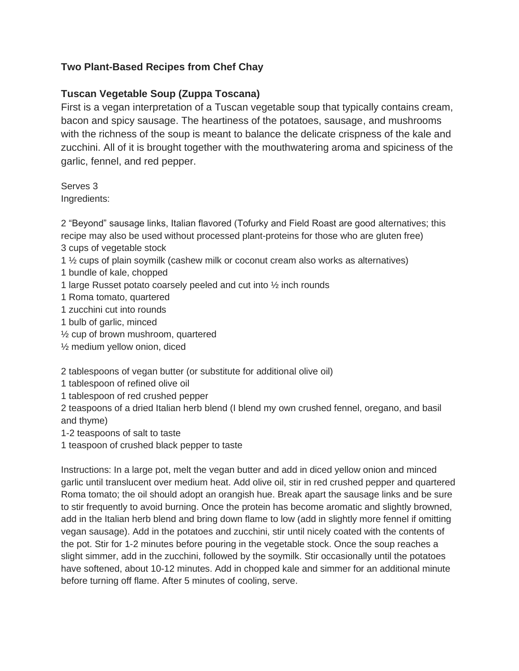## **Two Plant-Based Recipes from Chef Chay**

## **Tuscan Vegetable Soup (Zuppa Toscana)**

First is a vegan interpretation of a Tuscan vegetable soup that typically contains cream, bacon and spicy sausage. The heartiness of the potatoes, sausage, and mushrooms with the richness of the soup is meant to balance the delicate crispness of the kale and zucchini. All of it is brought together with the mouthwatering aroma and spiciness of the garlic, fennel, and red pepper.

Serves 3 Ingredients:

2 "Beyond" sausage links, Italian flavored (Tofurky and Field Roast are good alternatives; this recipe may also be used without processed plant-proteins for those who are gluten free) 3 cups of vegetable stock

1 ½ cups of plain soymilk (cashew milk or coconut cream also works as alternatives)

- 1 bundle of kale, chopped
- 1 large Russet potato coarsely peeled and cut into ½ inch rounds
- 1 Roma tomato, quartered
- 1 zucchini cut into rounds
- 1 bulb of garlic, minced
- ½ cup of brown mushroom, quartered
- ½ medium yellow onion, diced

2 tablespoons of vegan butter (or substitute for additional olive oil)

- 1 tablespoon of refined olive oil
- 1 tablespoon of red crushed pepper

2 teaspoons of a dried Italian herb blend (I blend my own crushed fennel, oregano, and basil and thyme)

1-2 teaspoons of salt to taste

1 teaspoon of crushed black pepper to taste

Instructions: In a large pot, melt the vegan butter and add in diced yellow onion and minced garlic until translucent over medium heat. Add olive oil, stir in red crushed pepper and quartered Roma tomato; the oil should adopt an orangish hue. Break apart the sausage links and be sure to stir frequently to avoid burning. Once the protein has become aromatic and slightly browned, add in the Italian herb blend and bring down flame to low (add in slightly more fennel if omitting vegan sausage). Add in the potatoes and zucchini, stir until nicely coated with the contents of the pot. Stir for 1-2 minutes before pouring in the vegetable stock. Once the soup reaches a slight simmer, add in the zucchini, followed by the soymilk. Stir occasionally until the potatoes have softened, about 10-12 minutes. Add in chopped kale and simmer for an additional minute before turning off flame. After 5 minutes of cooling, serve.